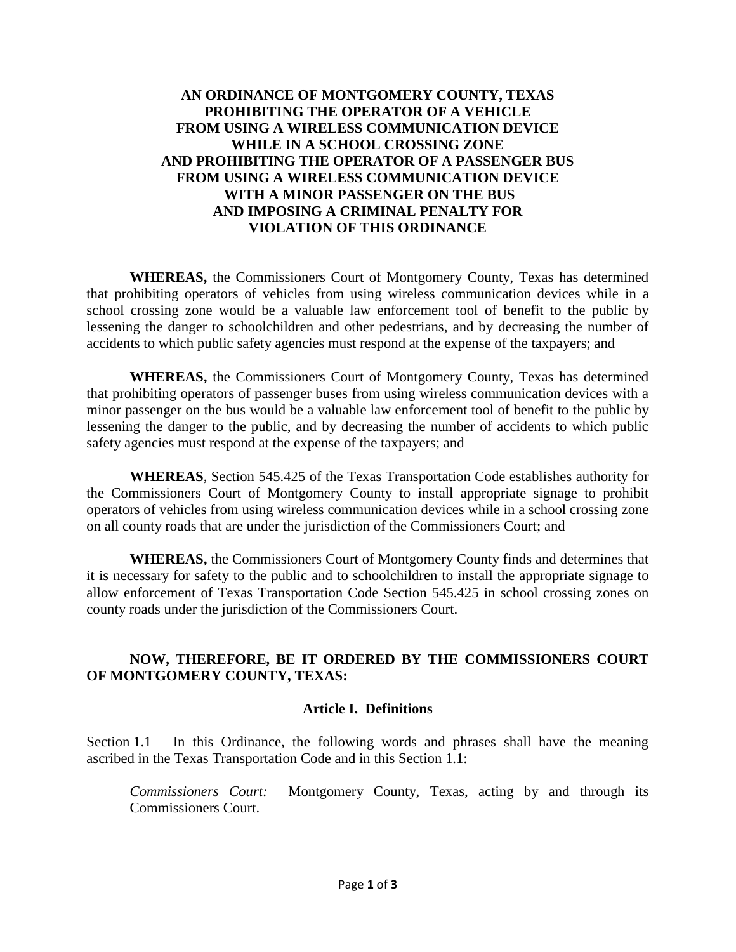# **AN ORDINANCE OF MONTGOMERY COUNTY, TEXAS PROHIBITING THE OPERATOR OF A VEHICLE FROM USING A WIRELESS COMMUNICATION DEVICE WHILE IN A SCHOOL CROSSING ZONE AND PROHIBITING THE OPERATOR OF A PASSENGER BUS FROM USING A WIRELESS COMMUNICATION DEVICE WITH A MINOR PASSENGER ON THE BUS AND IMPOSING A CRIMINAL PENALTY FOR VIOLATION OF THIS ORDINANCE**

**WHEREAS,** the Commissioners Court of Montgomery County, Texas has determined that prohibiting operators of vehicles from using wireless communication devices while in a school crossing zone would be a valuable law enforcement tool of benefit to the public by lessening the danger to schoolchildren and other pedestrians, and by decreasing the number of accidents to which public safety agencies must respond at the expense of the taxpayers; and

**WHEREAS,** the Commissioners Court of Montgomery County, Texas has determined that prohibiting operators of passenger buses from using wireless communication devices with a minor passenger on the bus would be a valuable law enforcement tool of benefit to the public by lessening the danger to the public, and by decreasing the number of accidents to which public safety agencies must respond at the expense of the taxpayers; and

**WHEREAS**, Section 545.425 of the Texas Transportation Code establishes authority for the Commissioners Court of Montgomery County to install appropriate signage to prohibit operators of vehicles from using wireless communication devices while in a school crossing zone on all county roads that are under the jurisdiction of the Commissioners Court; and

**WHEREAS,** the Commissioners Court of Montgomery County finds and determines that it is necessary for safety to the public and to schoolchildren to install the appropriate signage to allow enforcement of Texas Transportation Code Section 545.425 in school crossing zones on county roads under the jurisdiction of the Commissioners Court.

# **NOW, THEREFORE, BE IT ORDERED BY THE COMMISSIONERS COURT OF MONTGOMERY COUNTY, TEXAS:**

#### **Article I. Definitions**

Section 1.1 In this Ordinance, the following words and phrases shall have the meaning ascribed in the Texas Transportation Code and in this Section 1.1:

*Commissioners Court:* Montgomery County, Texas, acting by and through its Commissioners Court.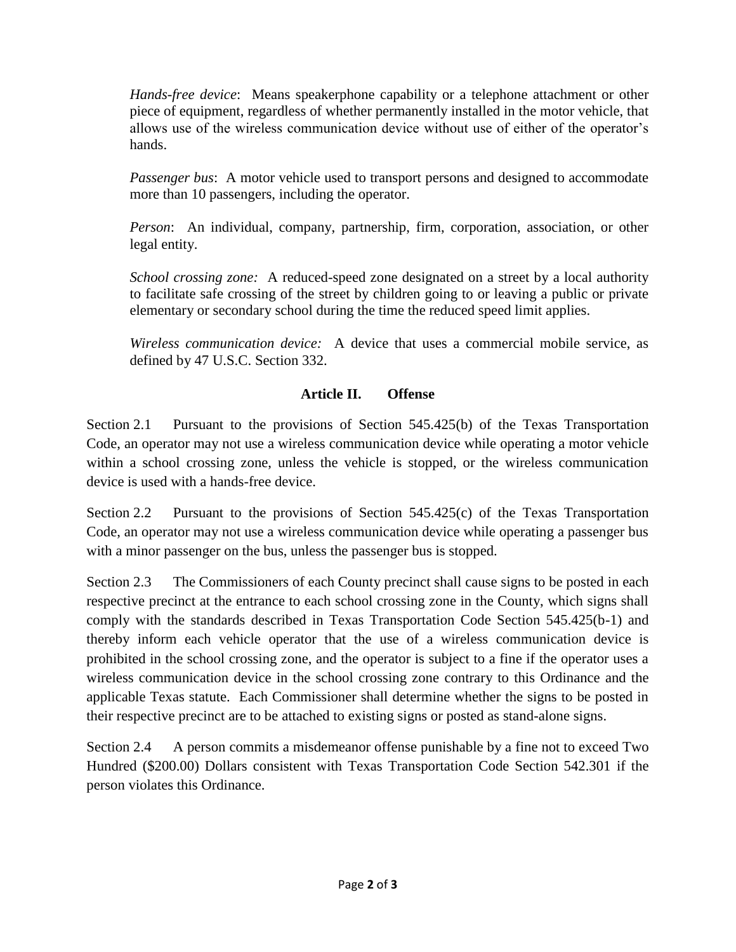*Hands-free device*: Means speakerphone capability or a telephone attachment or other piece of equipment, regardless of whether permanently installed in the motor vehicle, that allows use of the wireless communication device without use of either of the operator's hands.

*Passenger bus*: A motor vehicle used to transport persons and designed to accommodate more than 10 passengers, including the operator.

*Person*: An individual, company, partnership, firm, corporation, association, or other legal entity.

*School crossing zone:* A reduced-speed zone designated on a street by a local authority to facilitate safe crossing of the street by children going to or leaving a public or private elementary or secondary school during the time the reduced speed limit applies.

*Wireless communication device:* A device that uses a commercial mobile service, as defined by 47 U.S.C. Section 332.

# **Article II. Offense**

Section 2.1 Pursuant to the provisions of Section 545.425(b) of the Texas Transportation Code, an operator may not use a wireless communication device while operating a motor vehicle within a school crossing zone, unless the vehicle is stopped, or the wireless communication device is used with a hands-free device.

Section 2.2 Pursuant to the provisions of Section 545.425(c) of the Texas Transportation Code, an operator may not use a wireless communication device while operating a passenger bus with a minor passenger on the bus, unless the passenger bus is stopped.

Section 2.3 The Commissioners of each County precinct shall cause signs to be posted in each respective precinct at the entrance to each school crossing zone in the County, which signs shall comply with the standards described in Texas Transportation Code Section 545.425(b-1) and thereby inform each vehicle operator that the use of a wireless communication device is prohibited in the school crossing zone, and the operator is subject to a fine if the operator uses a wireless communication device in the school crossing zone contrary to this Ordinance and the applicable Texas statute. Each Commissioner shall determine whether the signs to be posted in their respective precinct are to be attached to existing signs or posted as stand-alone signs.

Section 2.4 A person commits a misdemeanor offense punishable by a fine not to exceed Two Hundred (\$200.00) Dollars consistent with Texas Transportation Code Section 542.301 if the person violates this Ordinance.